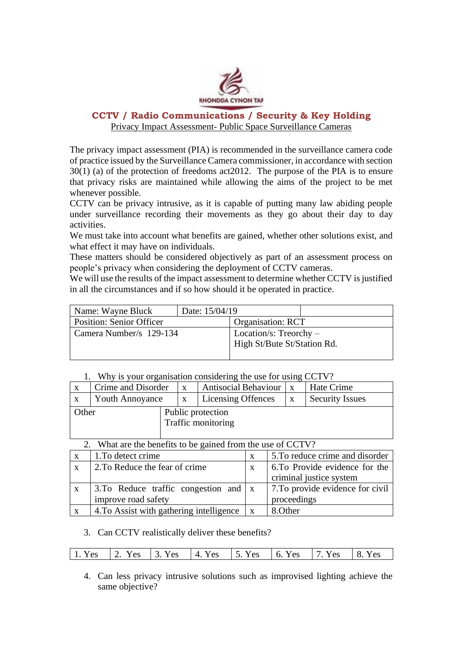

# **CCTV / Radio Communications / Security & Key Holding**  Privacy Impact Assessment- Public Space Surveillance Cameras

The privacy impact assessment (PIA) is recommended in the surveillance camera code of practice issued by the Surveillance Camera commissioner, in accordance with section 30(1) (a) of the protection of freedoms act2012. The purpose of the PIA is to ensure that privacy risks are maintained while allowing the aims of the project to be met whenever possible.

CCTV can be privacy intrusive, as it is capable of putting many law abiding people under surveillance recording their movements as they go about their day to day activities.

We must take into account what benefits are gained, whether other solutions exist, and what effect it may have on individuals.

These matters should be considered objectively as part of an assessment process on people's privacy when considering the deployment of CCTV cameras.

We will use the results of the impact assessment to determine whether CCTV is justified in all the circumstances and if so how should it be operated in practice.

| Name: Wayne Bluck               | Date: 15/04/19 |                             |  |
|---------------------------------|----------------|-----------------------------|--|
| <b>Position: Senior Officer</b> |                | Organisation: RCT           |  |
| Camera Number/s 129-134         |                | Location/s: Treorchy $-$    |  |
|                                 |                | High St/Bute St/Station Rd. |  |
|                                 |                |                             |  |

# 1. Why is your organisation considering the use for using CCTV?

| Crime and Disorder                               |  | X | <b>Antisocial Behaviour</b> |   | Hate Crime             |
|--------------------------------------------------|--|---|-----------------------------|---|------------------------|
| <b>Youth Annoyance</b>                           |  | X | Licensing Offences          | X | <b>Security Issues</b> |
| Other<br>Public protection<br>Traffic monitoring |  |   |                             |   |                        |
|                                                  |  |   |                             |   |                        |

2. What are the benefits to be gained from the use of CCTV?

| $\mathbf{X}$ | 1. To detect crime                                         | X | 5. To reduce crime and disorder  |
|--------------|------------------------------------------------------------|---|----------------------------------|
| $\mathbf{X}$ | 2. To Reduce the fear of crime                             | X | 6. To Provide evidence for the   |
|              |                                                            |   | criminal justice system          |
| $\mathbf{X}$ | $\vert$ 3.To Reduce traffic congestion and $\vert x \vert$ |   | 7. To provide evidence for civil |
|              | improve road safety                                        |   | proceedings                      |
| $\mathbf{X}$ | 4. To Assist with gathering intelligence $\vert x \vert$   |   | 8. Other                         |
|              |                                                            |   |                                  |

## 3. Can CCTV realistically deliver these benefits?

| 1. Yes 2. Yes 3. Yes 4. Yes 5. Yes 6. Yes 7. Yes 8. Yes |
|---------------------------------------------------------|
|---------------------------------------------------------|

4. Can less privacy intrusive solutions such as improvised lighting achieve the same objective?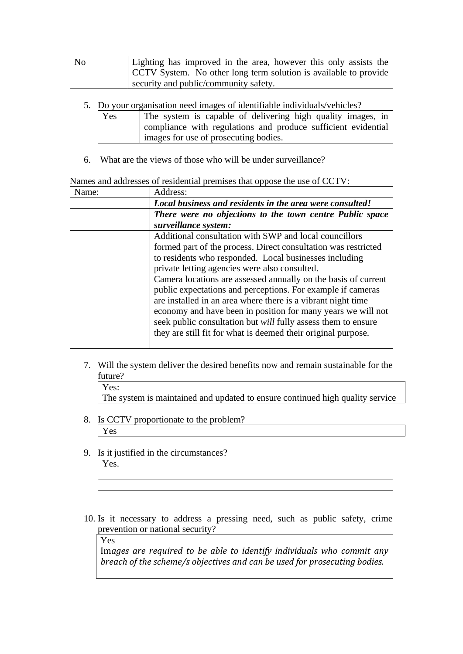| No | Lighting has improved in the area, however this only assists the |  |  |  |  |
|----|------------------------------------------------------------------|--|--|--|--|
|    | CCTV System. No other long term solution is available to provide |  |  |  |  |
|    | security and public/community safety.                            |  |  |  |  |

- 5. Do your organisation need images of identifiable individuals/vehicles?
	- Yes The system is capable of delivering high quality images, in compliance with regulations and produce sufficient evidential images for use of prosecuting bodies.
- 6. What are the views of those who will be under surveillance?

#### Names and addresses of residential premises that oppose the use of CCTV:

| Name: | Address:                                                             |
|-------|----------------------------------------------------------------------|
|       | Local business and residents in the area were consulted!             |
|       | There were no objections to the town centre Public space             |
|       | surveillance system:                                                 |
|       | Additional consultation with SWP and local councillors               |
|       | formed part of the process. Direct consultation was restricted       |
|       | to residents who responded. Local businesses including               |
|       | private letting agencies were also consulted.                        |
|       | Camera locations are assessed annually on the basis of current       |
|       | public expectations and perceptions. For example if cameras          |
|       | are installed in an area where there is a vibrant night time         |
|       | economy and have been in position for many years we will not         |
|       | seek public consultation but <i>will</i> fully assess them to ensure |
|       | they are still fit for what is deemed their original purpose.        |
|       |                                                                      |

- 7. Will the system deliver the desired benefits now and remain sustainable for the future?
	- Yes:

The system is maintained and updated to ensure continued high quality service

- 8. Is CCTV proportionate to the problem? Yes
- 9. Is it justified in the circumstances?

10. Is it necessary to address a pressing need, such as public safety, crime prevention or national security?

Yes

Yes.

Im*ages are required to be able to identify individuals who commit any breach of the scheme/s objectives and can be used for prosecuting bodies.*